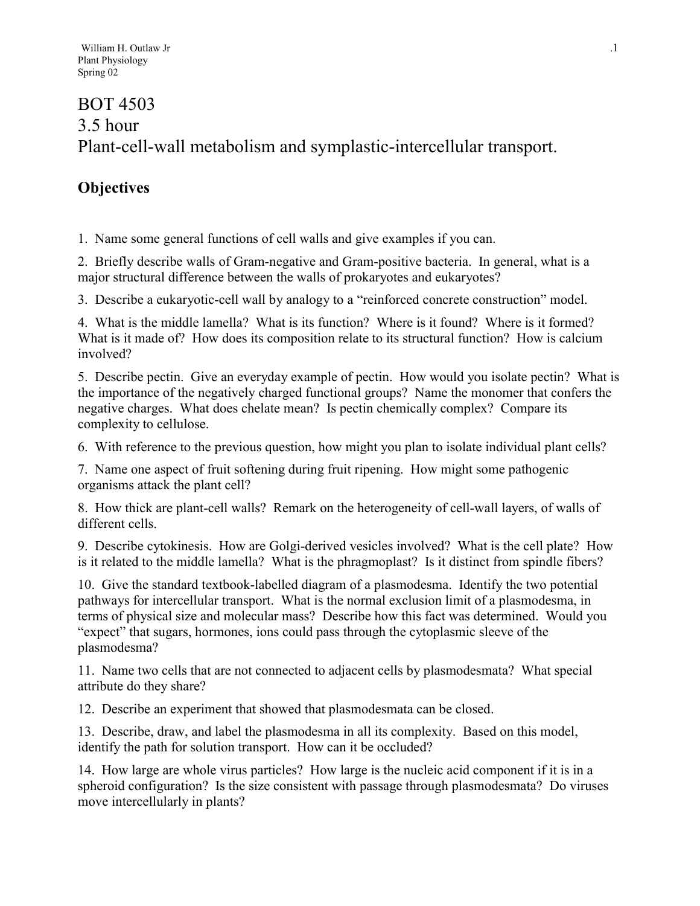# BOT 4503 3.5 hour Plant-cell-wall metabolism and symplastic-intercellular transport.

# **Objectives**

1. Name some general functions of cell walls and give examples if you can.

2. Briefly describe walls of Gram-negative and Gram-positive bacteria. In general, what is a major structural difference between the walls of prokaryotes and eukaryotes?

3. Describe a eukaryotic-cell wall by analogy to a "reinforced concrete construction" model.

4. What is the middle lamella? What is its function? Where is it found? Where is it formed? What is it made of? How does its composition relate to its structural function? How is calcium involved?

5. Describe pectin. Give an everyday example of pectin. How would you isolate pectin? What is the importance of the negatively charged functional groups? Name the monomer that confers the negative charges. What does chelate mean? Is pectin chemically complex? Compare its complexity to cellulose.

6. With reference to the previous question, how might you plan to isolate individual plant cells?

7. Name one aspect of fruit softening during fruit ripening. How might some pathogenic organisms attack the plant cell?

8. How thick are plant-cell walls? Remark on the heterogeneity of cell-wall layers, of walls of different cells.

9. Describe cytokinesis. How are Golgi-derived vesicles involved? What is the cell plate? How is it related to the middle lamella? What is the phragmoplast? Is it distinct from spindle fibers?

10. Give the standard textbook-labelled diagram of a plasmodesma. Identify the two potential pathways for intercellular transport. What is the normal exclusion limit of a plasmodesma, in terms of physical size and molecular mass? Describe how this fact was determined. Would you "expect" that sugars, hormones, ions could pass through the cytoplasmic sleeve of the plasmodesma?

11. Name two cells that are not connected to adjacent cells by plasmodesmata? What special attribute do they share?

12. Describe an experiment that showed that plasmodesmata can be closed.

13. Describe, draw, and label the plasmodesma in all its complexity. Based on this model, identify the path for solution transport. How can it be occluded?

14. How large are whole virus particles? How large is the nucleic acid component if it is in a spheroid configuration? Is the size consistent with passage through plasmodesmata? Do viruses move intercellularly in plants?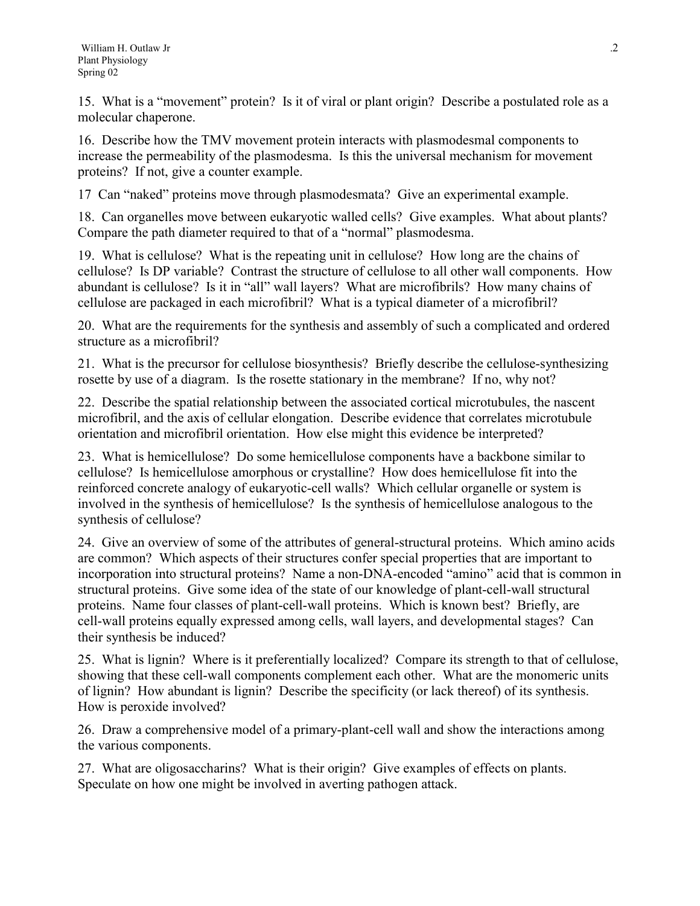15. What is a "movement" protein? Is it of viral or plant origin? Describe a postulated role as a molecular chaperone.

16. Describe how the TMV movement protein interacts with plasmodesmal components to increase the permeability of the plasmodesma. Is this the universal mechanism for movement proteins? If not, give a counter example.

17 Can "naked" proteins move through plasmodesmata? Give an experimental example.

18. Can organelles move between eukaryotic walled cells? Give examples. What about plants? Compare the path diameter required to that of a "normal" plasmodesma.

19. What is cellulose? What is the repeating unit in cellulose? How long are the chains of cellulose? Is DP variable? Contrast the structure of cellulose to all other wall components. How abundant is cellulose? Is it in "all" wall layers? What are microfibrils? How many chains of cellulose are packaged in each microfibril? What is a typical diameter of a microfibril?

20. What are the requirements for the synthesis and assembly of such a complicated and ordered structure as a microfibril?

21. What is the precursor for cellulose biosynthesis? Briefly describe the cellulose-synthesizing rosette by use of a diagram. Is the rosette stationary in the membrane? If no, why not?

22. Describe the spatial relationship between the associated cortical microtubules, the nascent microfibril, and the axis of cellular elongation. Describe evidence that correlates microtubule orientation and microfibril orientation. How else might this evidence be interpreted?

23. What is hemicellulose? Do some hemicellulose components have a backbone similar to cellulose? Is hemicellulose amorphous or crystalline? How does hemicellulose fit into the reinforced concrete analogy of eukaryotic-cell walls? Which cellular organelle or system is involved in the synthesis of hemicellulose? Is the synthesis of hemicellulose analogous to the synthesis of cellulose?

24. Give an overview of some of the attributes of general-structural proteins. Which amino acids are common? Which aspects of their structures confer special properties that are important to incorporation into structural proteins? Name a non-DNA-encoded "amino" acid that is common in structural proteins. Give some idea of the state of our knowledge of plant-cell-wall structural proteins. Name four classes of plant-cell-wall proteins. Which is known best? Briefly, are cell-wall proteins equally expressed among cells, wall layers, and developmental stages? Can their synthesis be induced?

25. What is lignin? Where is it preferentially localized? Compare its strength to that of cellulose, showing that these cell-wall components complement each other. What are the monomeric units of lignin? How abundant is lignin? Describe the specificity (or lack thereof) of its synthesis. How is peroxide involved?

26. Draw a comprehensive model of a primary-plant-cell wall and show the interactions among the various components.

27. What are oligosaccharins? What is their origin? Give examples of effects on plants. Speculate on how one might be involved in averting pathogen attack.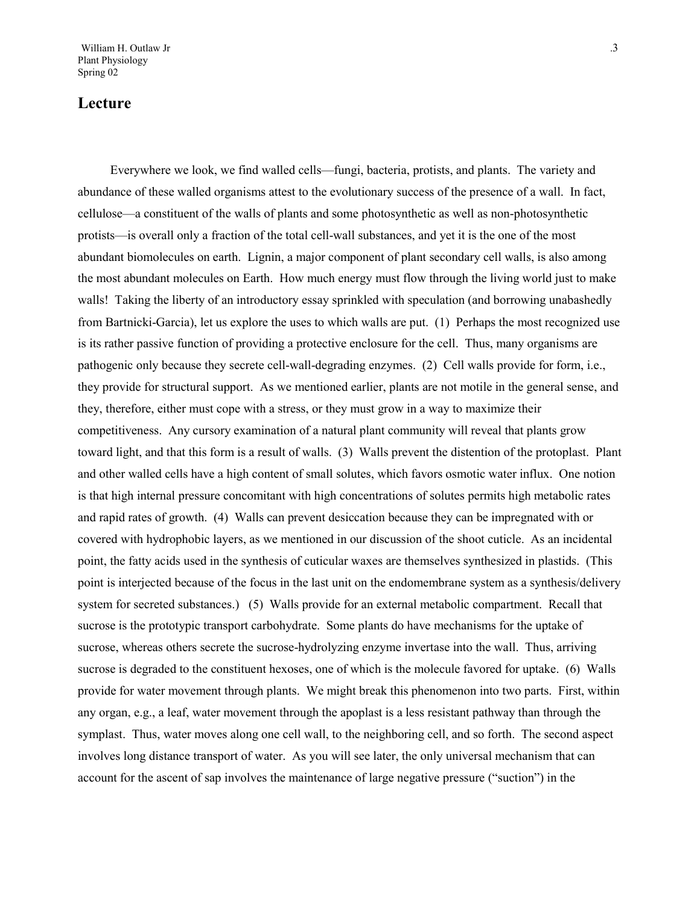# **Lecture**

Everywhere we look, we find walled cells—fungi, bacteria, protists, and plants. The variety and abundance of these walled organisms attest to the evolutionary success of the presence of a wall. In fact, cellulose—a constituent of the walls of plants and some photosynthetic as well as non-photosynthetic protists—is overall only a fraction of the total cell-wall substances, and yet it is the one of the most abundant biomolecules on earth. Lignin, a major component of plant secondary cell walls, is also among the most abundant molecules on Earth. How much energy must flow through the living world just to make walls! Taking the liberty of an introductory essay sprinkled with speculation (and borrowing unabashedly from Bartnicki-Garcia), let us explore the uses to which walls are put. (1) Perhaps the most recognized use is its rather passive function of providing a protective enclosure for the cell. Thus, many organisms are pathogenic only because they secrete cell-wall-degrading enzymes. (2) Cell walls provide for form, i.e., they provide for structural support. As we mentioned earlier, plants are not motile in the general sense, and they, therefore, either must cope with a stress, or they must grow in a way to maximize their competitiveness. Any cursory examination of a natural plant community will reveal that plants grow toward light, and that this form is a result of walls. (3) Walls prevent the distention of the protoplast. Plant and other walled cells have a high content of small solutes, which favors osmotic water influx. One notion is that high internal pressure concomitant with high concentrations of solutes permits high metabolic rates and rapid rates of growth. (4) Walls can prevent desiccation because they can be impregnated with or covered with hydrophobic layers, as we mentioned in our discussion of the shoot cuticle. As an incidental point, the fatty acids used in the synthesis of cuticular waxes are themselves synthesized in plastids. (This point is interjected because of the focus in the last unit on the endomembrane system as a synthesis/delivery system for secreted substances.) (5) Walls provide for an external metabolic compartment. Recall that sucrose is the prototypic transport carbohydrate. Some plants do have mechanisms for the uptake of sucrose, whereas others secrete the sucrose-hydrolyzing enzyme invertase into the wall. Thus, arriving sucrose is degraded to the constituent hexoses, one of which is the molecule favored for uptake. (6) Walls provide for water movement through plants. We might break this phenomenon into two parts. First, within any organ, e.g., a leaf, water movement through the apoplast is a less resistant pathway than through the symplast. Thus, water moves along one cell wall, to the neighboring cell, and so forth. The second aspect involves long distance transport of water. As you will see later, the only universal mechanism that can account for the ascent of sap involves the maintenance of large negative pressure ("suction") in the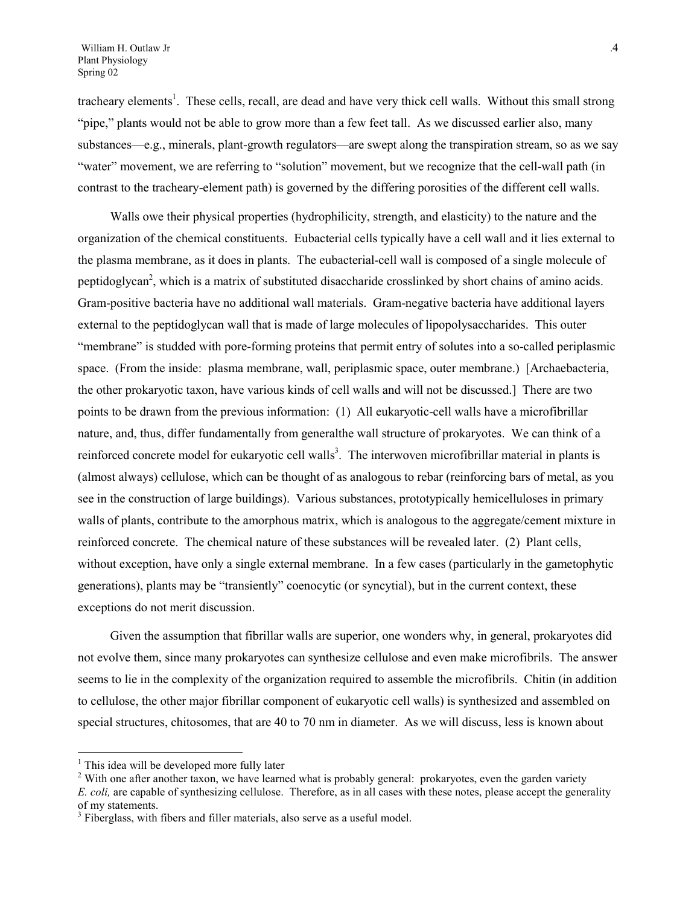tracheary elements<sup>[1](#page-3-0)</sup>. These cells, recall, are dead and have very thick cell walls. Without this small strong "pipe," plants would not be able to grow more than a few feet tall. As we discussed earlier also, many substances—e.g., minerals, plant-growth regulators—are swept along the transpiration stream, so as we say "water" movement, we are referring to "solution" movement, but we recognize that the cell-wall path (in contrast to the tracheary-element path) is governed by the differing porosities of the different cell walls.

Walls owe their physical properties (hydrophilicity, strength, and elasticity) to the nature and the organization of the chemical constituents. Eubacterial cells typically have a cell wall and it lies external to the plasma membrane, as it does in plants. The eubacterial-cell wall is composed of a single molecule of peptidoglycan<sup>2</sup>, which is a matrix of substituted disaccharide crosslinked by short chains of amino acids. Gram-positive bacteria have no additional wall materials. Gram-negative bacteria have additional layers external to the peptidoglycan wall that is made of large molecules of lipopolysaccharides. This outer "membrane" is studded with pore-forming proteins that permit entry of solutes into a so-called periplasmic space. (From the inside: plasma membrane, wall, periplasmic space, outer membrane.) [Archaebacteria, the other prokaryotic taxon, have various kinds of cell walls and will not be discussed.] There are two points to be drawn from the previous information: (1) All eukaryotic-cell walls have a microfibrillar nature, and, thus, differ fundamentally from generalthe wall structure of prokaryotes. We can think of a reinforced concrete model for eukaryotic cell walls<sup>[3](#page-3-2)</sup>. The interwoven microfibrillar material in plants is (almost always) cellulose, which can be thought of as analogous to rebar (reinforcing bars of metal, as you see in the construction of large buildings). Various substances, prototypically hemicelluloses in primary walls of plants, contribute to the amorphous matrix, which is analogous to the aggregate/cement mixture in reinforced concrete. The chemical nature of these substances will be revealed later. (2) Plant cells, without exception, have only a single external membrane. In a few cases (particularly in the gametophytic generations), plants may be "transiently" coenocytic (or syncytial), but in the current context, these exceptions do not merit discussion.

Given the assumption that fibrillar walls are superior, one wonders why, in general, prokaryotes did not evolve them, since many prokaryotes can synthesize cellulose and even make microfibrils. The answer seems to lie in the complexity of the organization required to assemble the microfibrils. Chitin (in addition to cellulose, the other major fibrillar component of eukaryotic cell walls) is synthesized and assembled on special structures, chitosomes, that are 40 to 70 nm in diameter. As we will discuss, less is known about

 $\overline{a}$ 

<span id="page-3-0"></span><sup>&</sup>lt;sup>1</sup> This idea will be developed more fully later

<span id="page-3-1"></span> $2$  With one after another taxon, we have learned what is probably general: prokaryotes, even the garden variety *E. coli,* are capable of synthesizing cellulose. Therefore, as in all cases with these notes, please accept the generality of my statements.

<span id="page-3-2"></span><sup>&</sup>lt;sup>3</sup> Fiberglass, with fibers and filler materials, also serve as a useful model.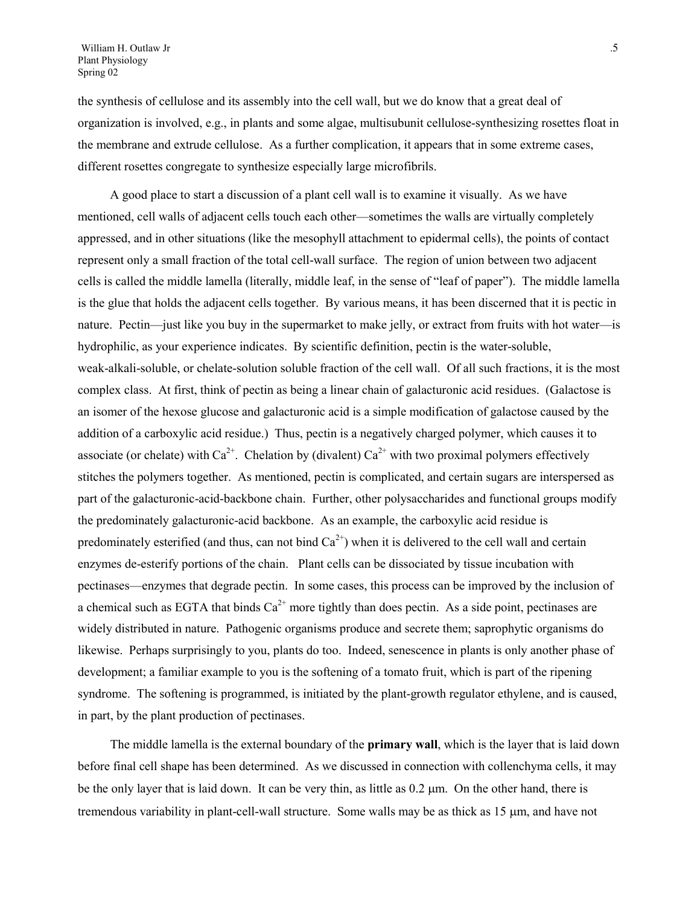the synthesis of cellulose and its assembly into the cell wall, but we do know that a great deal of organization is involved, e.g., in plants and some algae, multisubunit cellulose-synthesizing rosettes float in the membrane and extrude cellulose. As a further complication, it appears that in some extreme cases, different rosettes congregate to synthesize especially large microfibrils.

A good place to start a discussion of a plant cell wall is to examine it visually. As we have mentioned, cell walls of adjacent cells touch each other—sometimes the walls are virtually completely appressed, and in other situations (like the mesophyll attachment to epidermal cells), the points of contact represent only a small fraction of the total cell-wall surface. The region of union between two adjacent cells is called the middle lamella (literally, middle leaf, in the sense of "leaf of paper"). The middle lamella is the glue that holds the adjacent cells together. By various means, it has been discerned that it is pectic in nature. Pectin—just like you buy in the supermarket to make jelly, or extract from fruits with hot water—is hydrophilic, as your experience indicates. By scientific definition, pectin is the water-soluble, weak-alkali-soluble, or chelate-solution soluble fraction of the cell wall. Of all such fractions, it is the most complex class. At first, think of pectin as being a linear chain of galacturonic acid residues. (Galactose is an isomer of the hexose glucose and galacturonic acid is a simple modification of galactose caused by the addition of a carboxylic acid residue.) Thus, pectin is a negatively charged polymer, which causes it to associate (or chelate) with  $Ca^{2+}$ . Chelation by (divalent)  $Ca^{2+}$  with two proximal polymers effectively stitches the polymers together. As mentioned, pectin is complicated, and certain sugars are interspersed as part of the galacturonic-acid-backbone chain. Further, other polysaccharides and functional groups modify the predominately galacturonic-acid backbone. As an example, the carboxylic acid residue is predominately esterified (and thus, can not bind  $Ca^{2+}$ ) when it is delivered to the cell wall and certain enzymes de-esterify portions of the chain. Plant cells can be dissociated by tissue incubation with pectinases—enzymes that degrade pectin. In some cases, this process can be improved by the inclusion of a chemical such as EGTA that binds  $Ca^{2+}$  more tightly than does pectin. As a side point, pectinases are widely distributed in nature. Pathogenic organisms produce and secrete them; saprophytic organisms do likewise. Perhaps surprisingly to you, plants do too. Indeed, senescence in plants is only another phase of development; a familiar example to you is the softening of a tomato fruit, which is part of the ripening syndrome. The softening is programmed, is initiated by the plant-growth regulator ethylene, and is caused, in part, by the plant production of pectinases.

The middle lamella is the external boundary of the **primary wall**, which is the layer that is laid down before final cell shape has been determined. As we discussed in connection with collenchyma cells, it may be the only layer that is laid down. It can be very thin, as little as  $0.2 \mu m$ . On the other hand, there is tremendous variability in plant-cell-wall structure. Some walls may be as thick as  $15 \mu m$ , and have not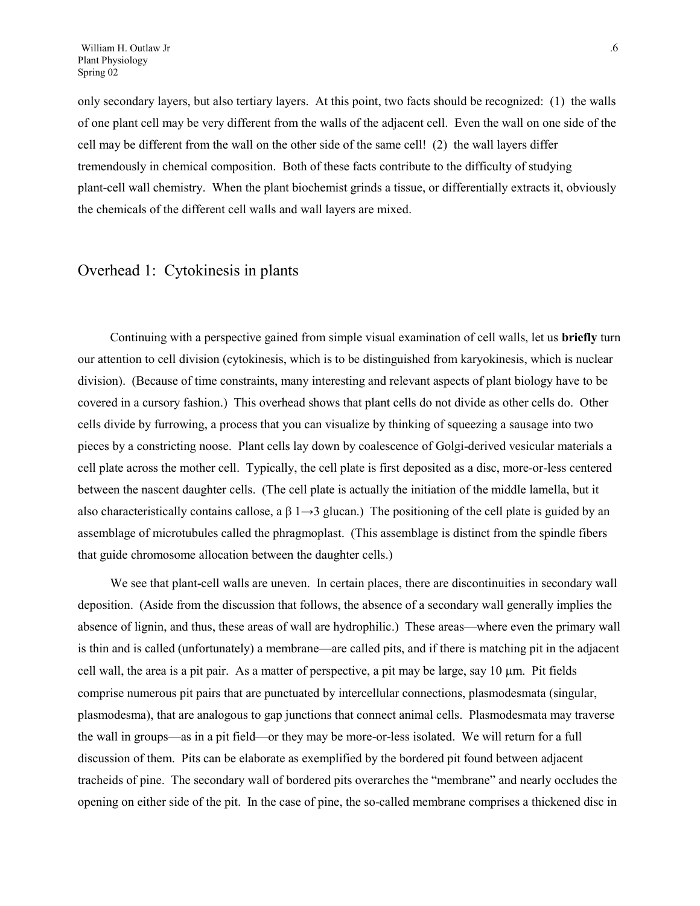only secondary layers, but also tertiary layers. At this point, two facts should be recognized: (1) the walls of one plant cell may be very different from the walls of the adjacent cell. Even the wall on one side of the cell may be different from the wall on the other side of the same cell! (2) the wall layers differ tremendously in chemical composition. Both of these facts contribute to the difficulty of studying plant-cell wall chemistry. When the plant biochemist grinds a tissue, or differentially extracts it, obviously the chemicals of the different cell walls and wall layers are mixed.

#### Overhead 1: Cytokinesis in plants

Continuing with a perspective gained from simple visual examination of cell walls, let us **briefly** turn our attention to cell division (cytokinesis, which is to be distinguished from karyokinesis, which is nuclear division). (Because of time constraints, many interesting and relevant aspects of plant biology have to be covered in a cursory fashion.) This overhead shows that plant cells do not divide as other cells do. Other cells divide by furrowing, a process that you can visualize by thinking of squeezing a sausage into two pieces by a constricting noose. Plant cells lay down by coalescence of Golgi-derived vesicular materials a cell plate across the mother cell. Typically, the cell plate is first deposited as a disc, more-or-less centered between the nascent daughter cells. (The cell plate is actually the initiation of the middle lamella, but it also characteristically contains callose, a  $\beta$  1 $\rightarrow$ 3 glucan.) The positioning of the cell plate is guided by an assemblage of microtubules called the phragmoplast. (This assemblage is distinct from the spindle fibers that guide chromosome allocation between the daughter cells.)

We see that plant-cell walls are uneven. In certain places, there are discontinuities in secondary wall deposition. (Aside from the discussion that follows, the absence of a secondary wall generally implies the absence of lignin, and thus, these areas of wall are hydrophilic.) These areas—where even the primary wall is thin and is called (unfortunately) a membrane—are called pits, and if there is matching pit in the adjacent cell wall, the area is a pit pair. As a matter of perspective, a pit may be large, say 10  $\mu$ m. Pit fields comprise numerous pit pairs that are punctuated by intercellular connections, plasmodesmata (singular, plasmodesma), that are analogous to gap junctions that connect animal cells. Plasmodesmata may traverse the wall in groups—as in a pit field—or they may be more-or-less isolated. We will return for a full discussion of them. Pits can be elaborate as exemplified by the bordered pit found between adjacent tracheids of pine. The secondary wall of bordered pits overarches the "membrane" and nearly occludes the opening on either side of the pit. In the case of pine, the so-called membrane comprises a thickened disc in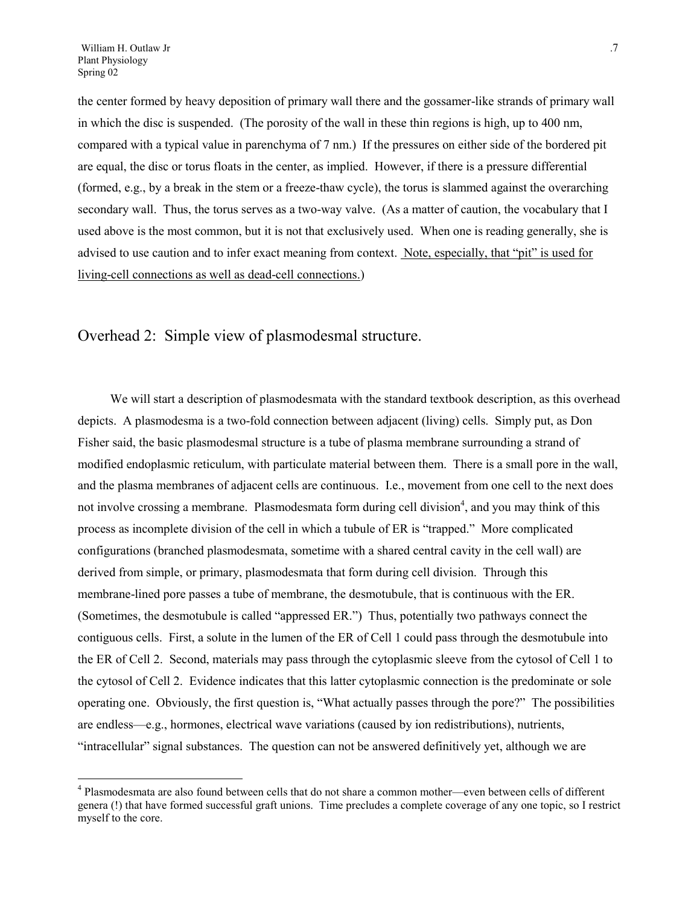$\overline{a}$ 

the center formed by heavy deposition of primary wall there and the gossamer-like strands of primary wall in which the disc is suspended. (The porosity of the wall in these thin regions is high, up to 400 nm, compared with a typical value in parenchyma of 7 nm.) If the pressures on either side of the bordered pit are equal, the disc or torus floats in the center, as implied. However, if there is a pressure differential (formed, e.g., by a break in the stem or a freeze-thaw cycle), the torus is slammed against the overarching secondary wall. Thus, the torus serves as a two-way valve. (As a matter of caution, the vocabulary that I used above is the most common, but it is not that exclusively used. When one is reading generally, she is advised to use caution and to infer exact meaning from context. Note, especially, that "pit" is used for living-cell connections as well as dead-cell connections.)

# Overhead 2: Simple view of plasmodesmal structure.

We will start a description of plasmodesmata with the standard textbook description, as this overhead depicts. A plasmodesma is a two-fold connection between adjacent (living) cells. Simply put, as Don Fisher said, the basic plasmodesmal structure is a tube of plasma membrane surrounding a strand of modified endoplasmic reticulum, with particulate material between them. There is a small pore in the wall, and the plasma membranes of adjacent cells are continuous. I.e., movement from one cell to the next does not involve crossing a membrane. Plasmodesmata form during cell division<sup>[4](#page-6-0)</sup>, and you may think of this process as incomplete division of the cell in which a tubule of ER is "trapped." More complicated configurations (branched plasmodesmata, sometime with a shared central cavity in the cell wall) are derived from simple, or primary, plasmodesmata that form during cell division. Through this membrane-lined pore passes a tube of membrane, the desmotubule, that is continuous with the ER. (Sometimes, the desmotubule is called "appressed ER.") Thus, potentially two pathways connect the contiguous cells. First, a solute in the lumen of the ER of Cell 1 could pass through the desmotubule into the ER of Cell 2. Second, materials may pass through the cytoplasmic sleeve from the cytosol of Cell 1 to the cytosol of Cell 2. Evidence indicates that this latter cytoplasmic connection is the predominate or sole operating one. Obviously, the first question is, "What actually passes through the pore?" The possibilities are endless—e.g., hormones, electrical wave variations (caused by ion redistributions), nutrients, "intracellular" signal substances. The question can not be answered definitively yet, although we are

<span id="page-6-0"></span><sup>&</sup>lt;sup>4</sup> Plasmodesmata are also found between cells that do not share a common mother—even between cells of different genera (!) that have formed successful graft unions. Time precludes a complete coverage of any one topic, so I restrict myself to the core.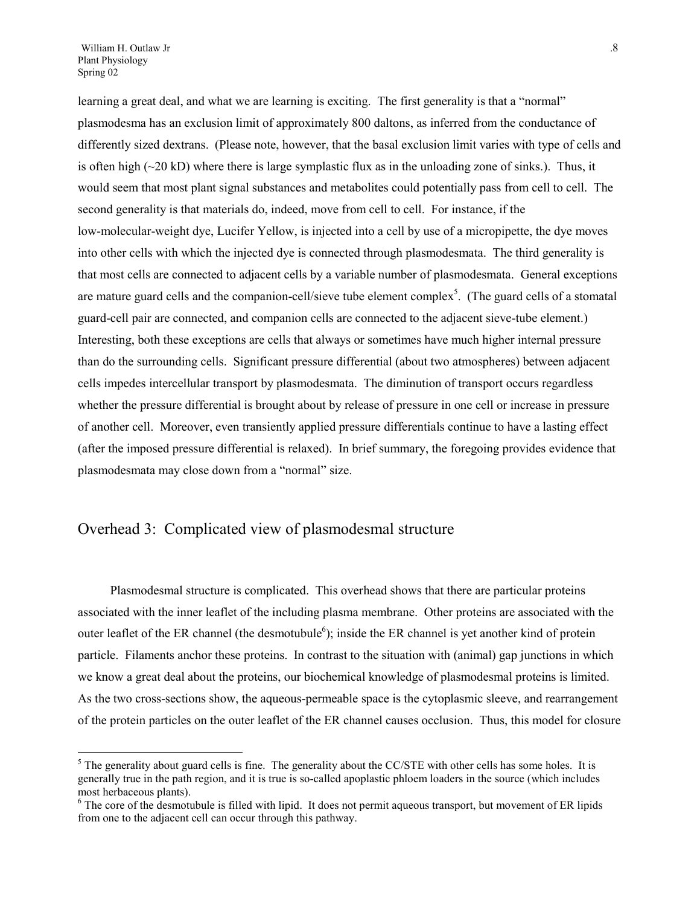$\overline{a}$ 

learning a great deal, and what we are learning is exciting. The first generality is that a "normal" plasmodesma has an exclusion limit of approximately 800 daltons, as inferred from the conductance of differently sized dextrans. (Please note, however, that the basal exclusion limit varies with type of cells and is often high  $(\sim 20 \text{ kD})$  where there is large symplastic flux as in the unloading zone of sinks.). Thus, it would seem that most plant signal substances and metabolites could potentially pass from cell to cell. The second generality is that materials do, indeed, move from cell to cell. For instance, if the low-molecular-weight dye, Lucifer Yellow, is injected into a cell by use of a micropipette, the dye moves into other cells with which the injected dye is connected through plasmodesmata. The third generality is that most cells are connected to adjacent cells by a variable number of plasmodesmata. General exceptions are mature guard cells and the companion-cell/sieve tube element complex<sup>5</sup>. (The guard cells of a stomatal guard-cell pair are connected, and companion cells are connected to the adjacent sieve-tube element.) Interesting, both these exceptions are cells that always or sometimes have much higher internal pressure than do the surrounding cells. Significant pressure differential (about two atmospheres) between adjacent cells impedes intercellular transport by plasmodesmata. The diminution of transport occurs regardless whether the pressure differential is brought about by release of pressure in one cell or increase in pressure of another cell. Moreover, even transiently applied pressure differentials continue to have a lasting effect (after the imposed pressure differential is relaxed). In brief summary, the foregoing provides evidence that plasmodesmata may close down from a "normal" size.

## Overhead 3: Complicated view of plasmodesmal structure

Plasmodesmal structure is complicated. This overhead shows that there are particular proteins associated with the inner leaflet of the including plasma membrane. Other proteins are associated with the outer leaflet of the ER channel (the desmotubule<sup>6</sup>); inside the ER channel is yet another kind of protein particle. Filaments anchor these proteins. In contrast to the situation with (animal) gap junctions in which we know a great deal about the proteins, our biochemical knowledge of plasmodesmal proteins is limited. As the two cross-sections show, the aqueous-permeable space is the cytoplasmic sleeve, and rearrangement of the protein particles on the outer leaflet of the ER channel causes occlusion. Thus, this model for closure

<span id="page-7-0"></span> $<sup>5</sup>$  The generality about guard cells is fine. The generality about the CC/STE with other cells has some holes. It is</sup> generally true in the path region, and it is true is so-called apoplastic phloem loaders in the source (which includes most herbaceous plants).

<span id="page-7-1"></span><sup>&</sup>lt;sup>6</sup> The core of the desmotubule is filled with lipid. It does not permit aqueous transport, but movement of ER lipids from one to the adjacent cell can occur through this pathway.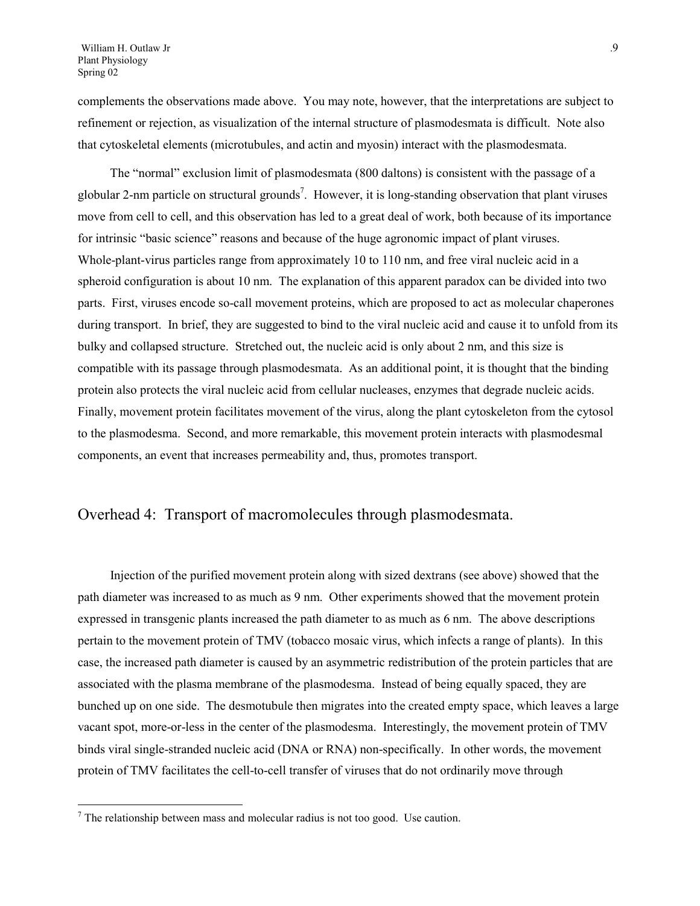complements the observations made above. You may note, however, that the interpretations are subject to refinement or rejection, as visualization of the internal structure of plasmodesmata is difficult. Note also that cytoskeletal elements (microtubules, and actin and myosin) interact with the plasmodesmata.

The "normal" exclusion limit of plasmodesmata (800 daltons) is consistent with the passage of a globular 2-nm particle on structural grounds<sup>[7](#page-8-0)</sup>. However, it is long-standing observation that plant viruses move from cell to cell, and this observation has led to a great deal of work, both because of its importance for intrinsic "basic science" reasons and because of the huge agronomic impact of plant viruses. Whole-plant-virus particles range from approximately 10 to 110 nm, and free viral nucleic acid in a spheroid configuration is about 10 nm. The explanation of this apparent paradox can be divided into two parts. First, viruses encode so-call movement proteins, which are proposed to act as molecular chaperones during transport. In brief, they are suggested to bind to the viral nucleic acid and cause it to unfold from its bulky and collapsed structure. Stretched out, the nucleic acid is only about 2 nm, and this size is compatible with its passage through plasmodesmata. As an additional point, it is thought that the binding protein also protects the viral nucleic acid from cellular nucleases, enzymes that degrade nucleic acids. Finally, movement protein facilitates movement of the virus, along the plant cytoskeleton from the cytosol to the plasmodesma. Second, and more remarkable, this movement protein interacts with plasmodesmal components, an event that increases permeability and, thus, promotes transport.

#### Overhead 4: Transport of macromolecules through plasmodesmata.

Injection of the purified movement protein along with sized dextrans (see above) showed that the path diameter was increased to as much as 9 nm. Other experiments showed that the movement protein expressed in transgenic plants increased the path diameter to as much as 6 nm. The above descriptions pertain to the movement protein of TMV (tobacco mosaic virus, which infects a range of plants). In this case, the increased path diameter is caused by an asymmetric redistribution of the protein particles that are associated with the plasma membrane of the plasmodesma. Instead of being equally spaced, they are bunched up on one side. The desmotubule then migrates into the created empty space, which leaves a large vacant spot, more-or-less in the center of the plasmodesma. Interestingly, the movement protein of TMV binds viral single-stranded nucleic acid (DNA or RNA) non-specifically. In other words, the movement protein of TMV facilitates the cell-to-cell transfer of viruses that do not ordinarily move through

 $\overline{a}$ 

<span id="page-8-0"></span> $<sup>7</sup>$  The relationship between mass and molecular radius is not too good. Use caution.</sup>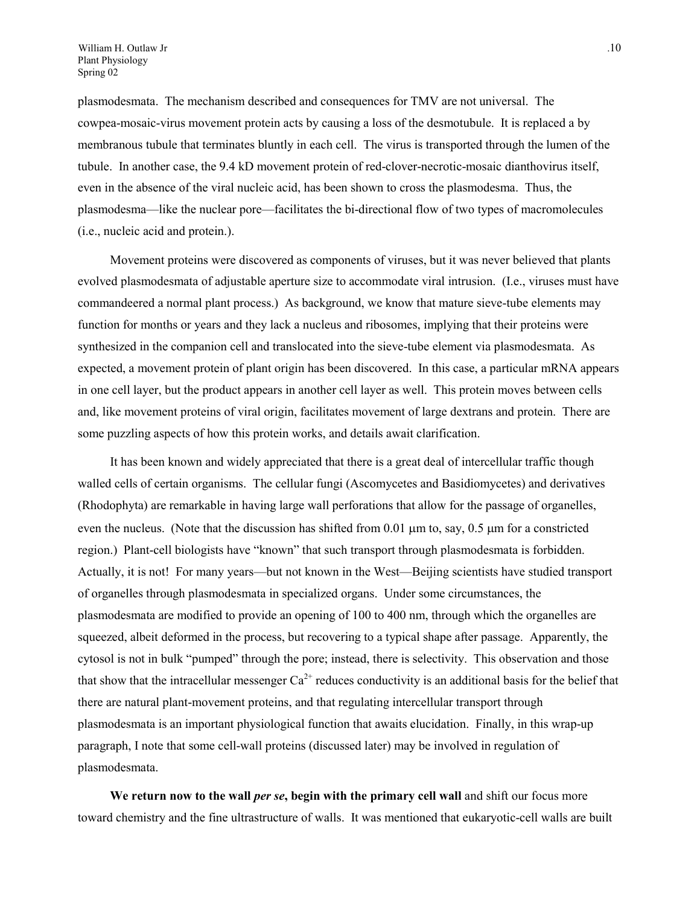plasmodesmata. The mechanism described and consequences for TMV are not universal. The cowpea-mosaic-virus movement protein acts by causing a loss of the desmotubule. It is replaced a by membranous tubule that terminates bluntly in each cell. The virus is transported through the lumen of the tubule. In another case, the 9.4 kD movement protein of red-clover-necrotic-mosaic dianthovirus itself, even in the absence of the viral nucleic acid, has been shown to cross the plasmodesma. Thus, the plasmodesma—like the nuclear pore—facilitates the bi-directional flow of two types of macromolecules (i.e., nucleic acid and protein.).

Movement proteins were discovered as components of viruses, but it was never believed that plants evolved plasmodesmata of adjustable aperture size to accommodate viral intrusion. (I.e., viruses must have commandeered a normal plant process.) As background, we know that mature sieve-tube elements may function for months or years and they lack a nucleus and ribosomes, implying that their proteins were synthesized in the companion cell and translocated into the sieve-tube element via plasmodesmata. As expected, a movement protein of plant origin has been discovered. In this case, a particular mRNA appears in one cell layer, but the product appears in another cell layer as well. This protein moves between cells and, like movement proteins of viral origin, facilitates movement of large dextrans and protein. There are some puzzling aspects of how this protein works, and details await clarification.

It has been known and widely appreciated that there is a great deal of intercellular traffic though walled cells of certain organisms. The cellular fungi (Ascomycetes and Basidiomycetes) and derivatives (Rhodophyta) are remarkable in having large wall perforations that allow for the passage of organelles, even the nucleus. (Note that the discussion has shifted from 0.01  $\mu$ m to, say, 0.5  $\mu$ m for a constricted region.) Plant-cell biologists have "known" that such transport through plasmodesmata is forbidden. Actually, it is not! For many years—but not known in the West—Beijing scientists have studied transport of organelles through plasmodesmata in specialized organs. Under some circumstances, the plasmodesmata are modified to provide an opening of 100 to 400 nm, through which the organelles are squeezed, albeit deformed in the process, but recovering to a typical shape after passage. Apparently, the cytosol is not in bulk "pumped" through the pore; instead, there is selectivity. This observation and those that show that the intracellular messenger  $Ca^{2+}$  reduces conductivity is an additional basis for the belief that there are natural plant-movement proteins, and that regulating intercellular transport through plasmodesmata is an important physiological function that awaits elucidation. Finally, in this wrap-up paragraph, I note that some cell-wall proteins (discussed later) may be involved in regulation of plasmodesmata.

**We return now to the wall** *per se***, begin with the primary cell wall** and shift our focus more toward chemistry and the fine ultrastructure of walls. It was mentioned that eukaryotic-cell walls are built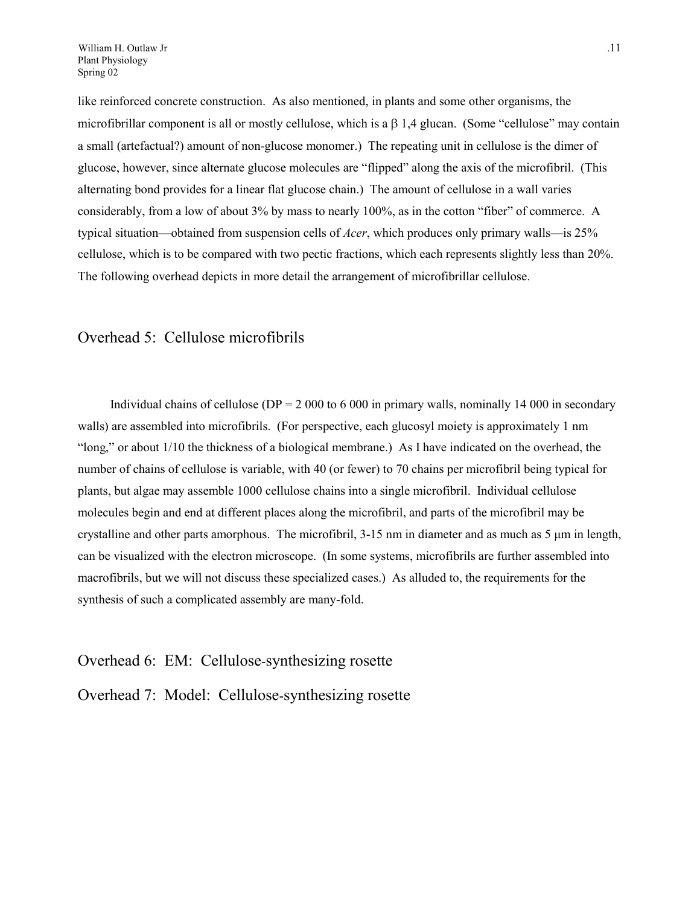like reinforced concrete construction. As also mentioned, in plants and some other organisms, the microfibrillar component is all or mostly cellulose, which is a  $\beta$  1,4 glucan. (Some "cellulose" may contain a small (artefactual?) amount of non-glucose monomer.) The repeating unit in cellulose is the dimer of glucose, however, since alternate glucose molecules are "flipped" along the axis of the microfibril. (This alternating bond provides for a linear flat glucose chain.) The amount of cellulose in a wall varies considerably, from a low of about 3% by mass to nearly 100%, as in the cotton "fiber" of commerce. A typical situation—obtained from suspension cells of *Acer*, which produces only primary walls—is 25% cellulose, which is to be compared with two pectic fractions, which each represents slightly less than 20%. The following overhead depicts in more detail the arrangement of microfibrillar cellulose.

#### Overhead 5: Cellulose microfibrils

Individual chains of cellulose ( $DP = 2000$  to 6000 in primary walls, nominally 14000 in secondary walls) are assembled into microfibrils. (For perspective, each glucosyl moiety is approximately 1 nm "long," or about 1/10 the thickness of a biological membrane.) As I have indicated on the overhead, the number of chains of cellulose is variable, with 40 (or fewer) to 70 chains per microfibril being typical for plants, but algae may assemble 1000 cellulose chains into a single microfibril. Individual cellulose molecules begin and end at different places along the microfibril, and parts of the microfibril may be crystalline and other parts amorphous. The microfibril,  $3-15$  nm in diameter and as much as  $5 \mu m$  in length, can be visualized with the electron microscope. (In some systems, microfibrils are further assembled into macrofibrils, but we will not discuss these specialized cases.) As alluded to, the requirements for the synthesis of such a complicated assembly are many-fold.

#### Overhead 6: EM: Cellulose-synthesizing rosette

Overhead 7: Model: Cellulose-synthesizing rosette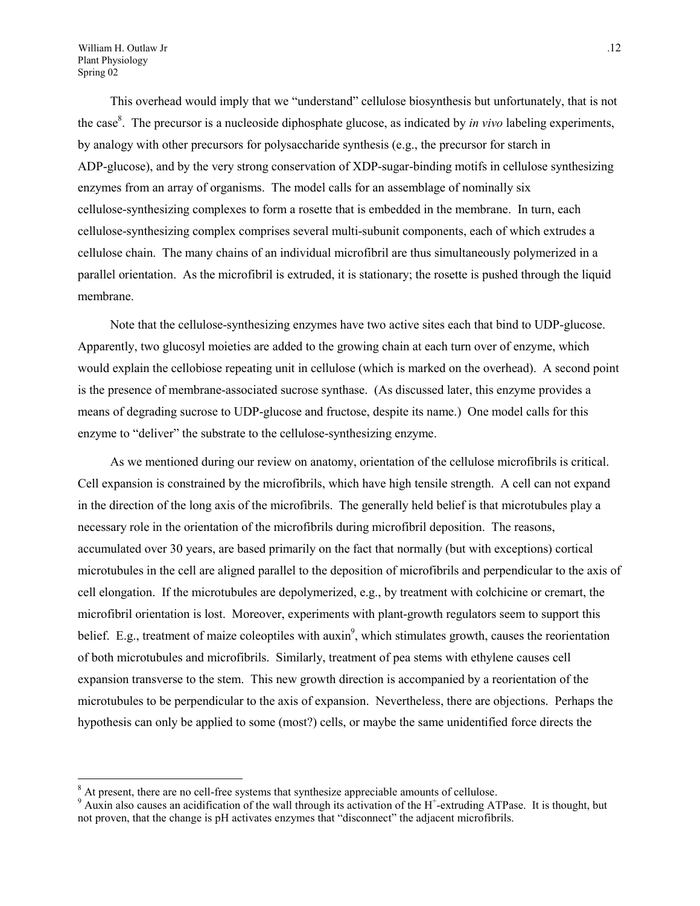William H. Outlaw Jr ... 12 Plant Physiology Spring 02

 $\overline{a}$ 

This overhead would imply that we "understand" cellulose biosynthesis but unfortunately, that is not the case<sup>8</sup>. The precursor is a nucleoside diphosphate glucose, as indicated by *in vivo* labeling experiments, by analogy with other precursors for polysaccharide synthesis (e.g., the precursor for starch in ADP-glucose), and by the very strong conservation of XDP-sugar-binding motifs in cellulose synthesizing enzymes from an array of organisms. The model calls for an assemblage of nominally six cellulose-synthesizing complexes to form a rosette that is embedded in the membrane. In turn, each cellulose-synthesizing complex comprises several multi-subunit components, each of which extrudes a cellulose chain. The many chains of an individual microfibril are thus simultaneously polymerized in a parallel orientation. As the microfibril is extruded, it is stationary; the rosette is pushed through the liquid membrane.

Note that the cellulose-synthesizing enzymes have two active sites each that bind to UDP-glucose. Apparently, two glucosyl moieties are added to the growing chain at each turn over of enzyme, which would explain the cellobiose repeating unit in cellulose (which is marked on the overhead). A second point is the presence of membrane-associated sucrose synthase. (As discussed later, this enzyme provides a means of degrading sucrose to UDP-glucose and fructose, despite its name.) One model calls for this enzyme to "deliver" the substrate to the cellulose-synthesizing enzyme.

As we mentioned during our review on anatomy, orientation of the cellulose microfibrils is critical. Cell expansion is constrained by the microfibrils, which have high tensile strength. A cell can not expand in the direction of the long axis of the microfibrils. The generally held belief is that microtubules play a necessary role in the orientation of the microfibrils during microfibril deposition. The reasons, accumulated over 30 years, are based primarily on the fact that normally (but with exceptions) cortical microtubules in the cell are aligned parallel to the deposition of microfibrils and perpendicular to the axis of cell elongation. If the microtubules are depolymerized, e.g., by treatment with colchicine or cremart, the microfibril orientation is lost. Moreover, experiments with plant-growth regulators seem to support this belief. E.g., treatment of maize coleoptiles with  $auxin^9$ , which stimulates growth, causes the reorientation of both microtubules and microfibrils. Similarly, treatment of pea stems with ethylene causes cell expansion transverse to the stem. This new growth direction is accompanied by a reorientation of the microtubules to be perpendicular to the axis of expansion. Nevertheless, there are objections. Perhaps the hypothesis can only be applied to some (most?) cells, or maybe the same unidentified force directs the

<span id="page-11-0"></span><sup>&</sup>lt;sup>8</sup> At present, there are no cell-free systems that synthesize appreciable amounts of cellulose.

<span id="page-11-1"></span> $9$  Auxin also causes an acidification of the wall through its activation of the H<sup>+</sup>-extruding ATPase. It is thought, but not proven, that the change is pH activates enzymes that "disconnect" the adjacent microfibrils.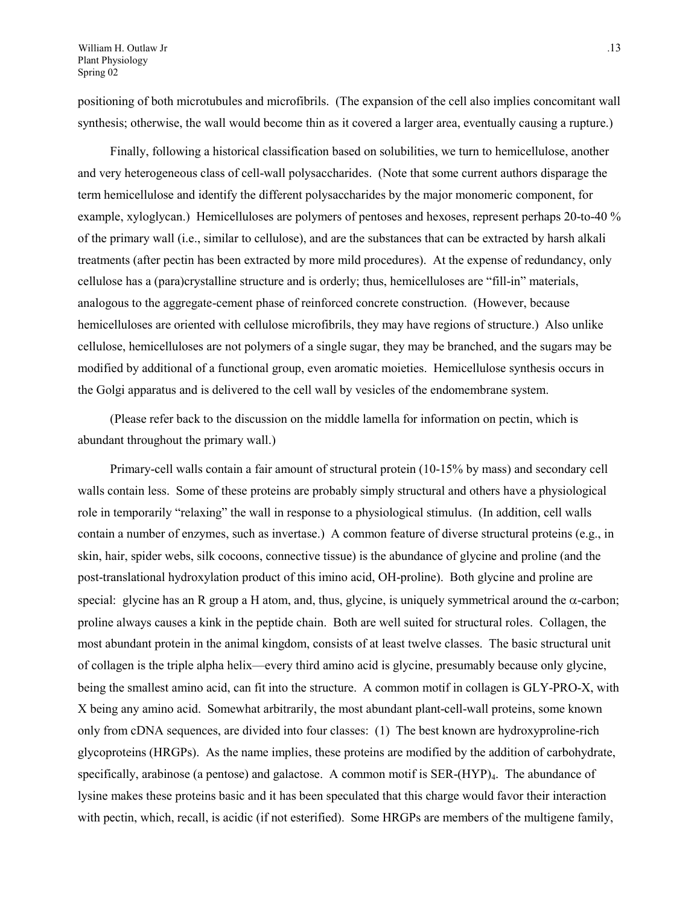positioning of both microtubules and microfibrils. (The expansion of the cell also implies concomitant wall synthesis; otherwise, the wall would become thin as it covered a larger area, eventually causing a rupture.)

Finally, following a historical classification based on solubilities, we turn to hemicellulose, another and very heterogeneous class of cell-wall polysaccharides. (Note that some current authors disparage the term hemicellulose and identify the different polysaccharides by the major monomeric component, for example, xyloglycan.) Hemicelluloses are polymers of pentoses and hexoses, represent perhaps 20-to-40 % of the primary wall (i.e., similar to cellulose), and are the substances that can be extracted by harsh alkali treatments (after pectin has been extracted by more mild procedures). At the expense of redundancy, only cellulose has a (para)crystalline structure and is orderly; thus, hemicelluloses are "fill-in" materials, analogous to the aggregate-cement phase of reinforced concrete construction. (However, because hemicelluloses are oriented with cellulose microfibrils, they may have regions of structure.) Also unlike cellulose, hemicelluloses are not polymers of a single sugar, they may be branched, and the sugars may be modified by additional of a functional group, even aromatic moieties. Hemicellulose synthesis occurs in the Golgi apparatus and is delivered to the cell wall by vesicles of the endomembrane system.

(Please refer back to the discussion on the middle lamella for information on pectin, which is abundant throughout the primary wall.)

Primary-cell walls contain a fair amount of structural protein (10-15% by mass) and secondary cell walls contain less. Some of these proteins are probably simply structural and others have a physiological role in temporarily "relaxing" the wall in response to a physiological stimulus. (In addition, cell walls contain a number of enzymes, such as invertase.) A common feature of diverse structural proteins (e.g., in skin, hair, spider webs, silk cocoons, connective tissue) is the abundance of glycine and proline (and the post-translational hydroxylation product of this imino acid, OH-proline). Both glycine and proline are special: glycine has an R group a H atom, and, thus, glycine, is uniquely symmetrical around the  $\alpha$ -carbon; proline always causes a kink in the peptide chain. Both are well suited for structural roles. Collagen, the most abundant protein in the animal kingdom, consists of at least twelve classes. The basic structural unit of collagen is the triple alpha helix—every third amino acid is glycine, presumably because only glycine, being the smallest amino acid, can fit into the structure. A common motif in collagen is GLY-PRO-X, with X being any amino acid. Somewhat arbitrarily, the most abundant plant-cell-wall proteins, some known only from cDNA sequences, are divided into four classes: (1) The best known are hydroxyproline-rich glycoproteins (HRGPs). As the name implies, these proteins are modified by the addition of carbohydrate, specifically, arabinose (a pentose) and galactose. A common motif is  $SER-(HYP)_4$ . The abundance of lysine makes these proteins basic and it has been speculated that this charge would favor their interaction with pectin, which, recall, is acidic (if not esterified). Some HRGPs are members of the multigene family,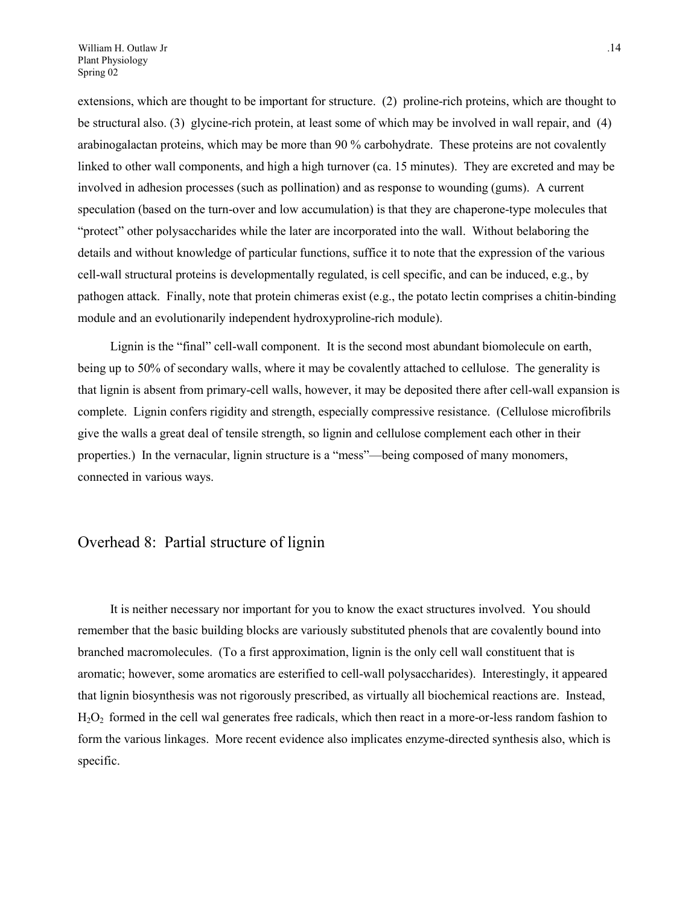extensions, which are thought to be important for structure. (2) proline-rich proteins, which are thought to be structural also. (3) glycine-rich protein, at least some of which may be involved in wall repair, and (4) arabinogalactan proteins, which may be more than 90 % carbohydrate. These proteins are not covalently linked to other wall components, and high a high turnover (ca. 15 minutes). They are excreted and may be involved in adhesion processes (such as pollination) and as response to wounding (gums). A current speculation (based on the turn-over and low accumulation) is that they are chaperone-type molecules that "protect" other polysaccharides while the later are incorporated into the wall. Without belaboring the details and without knowledge of particular functions, suffice it to note that the expression of the various cell-wall structural proteins is developmentally regulated, is cell specific, and can be induced, e.g., by pathogen attack. Finally, note that protein chimeras exist (e.g., the potato lectin comprises a chitin-binding module and an evolutionarily independent hydroxyproline-rich module).

Lignin is the "final" cell-wall component. It is the second most abundant biomolecule on earth, being up to 50% of secondary walls, where it may be covalently attached to cellulose. The generality is that lignin is absent from primary-cell walls, however, it may be deposited there after cell-wall expansion is complete. Lignin confers rigidity and strength, especially compressive resistance. (Cellulose microfibrils give the walls a great deal of tensile strength, so lignin and cellulose complement each other in their properties.) In the vernacular, lignin structure is a "mess"—being composed of many monomers, connected in various ways.

### Overhead 8: Partial structure of lignin

It is neither necessary nor important for you to know the exact structures involved. You should remember that the basic building blocks are variously substituted phenols that are covalently bound into branched macromolecules. (To a first approximation, lignin is the only cell wall constituent that is aromatic; however, some aromatics are esterified to cell-wall polysaccharides). Interestingly, it appeared that lignin biosynthesis was not rigorously prescribed, as virtually all biochemical reactions are. Instead,  $H<sub>2</sub>O<sub>2</sub>$  formed in the cell wal generates free radicals, which then react in a more-or-less random fashion to form the various linkages. More recent evidence also implicates enzyme-directed synthesis also, which is specific.